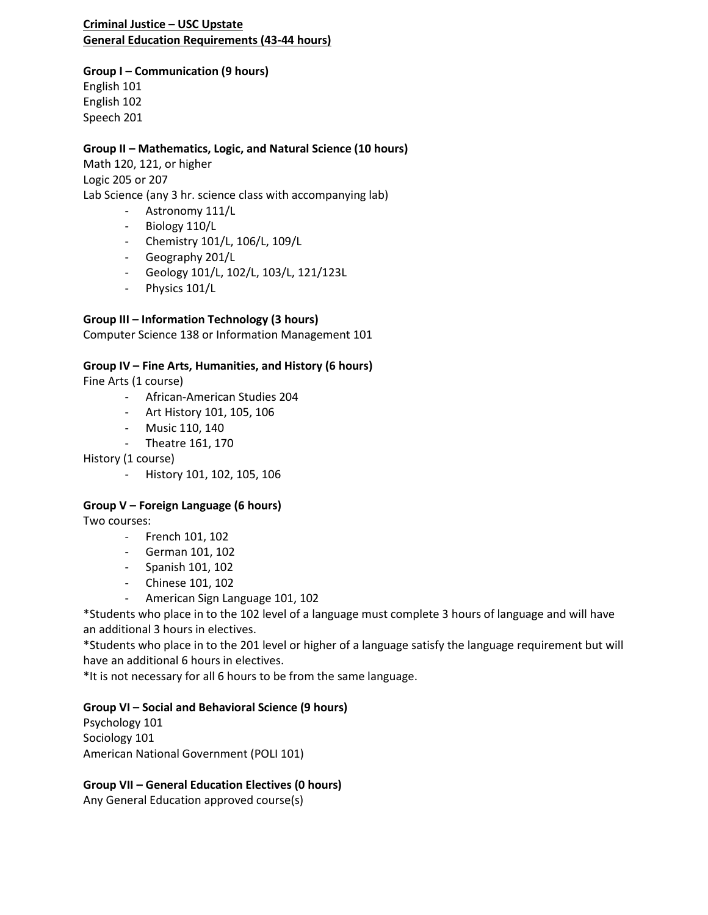#### **Criminal Justice – USC Upstate General Education Requirements (43-44 hours)**

### **Group I – Communication (9 hours)**

English 101 English 102 Speech 201

## **Group II – Mathematics, Logic, and Natural Science (10 hours)**

Math 120, 121, or higher Logic 205 or 207 Lab Science (any 3 hr. science class with accompanying lab)

- Astronomy 111/L
- Biology 110/L
- Chemistry 101/L, 106/L, 109/L
- Geography 201/L
- Geology 101/L, 102/L, 103/L, 121/123L
- Physics 101/L

## **Group III – Information Technology (3 hours)**

Computer Science 138 or Information Management 101

## **Group IV – Fine Arts, Humanities, and History (6 hours)**

Fine Arts (1 course)

- African-American Studies 204
- Art History 101, 105, 106
- Music 110, 140
- Theatre 161, 170

History (1 course)

- History 101, 102, 105, 106

## **Group V – Foreign Language (6 hours)**

Two courses:

- French 101, 102
- German 101, 102
- Spanish 101, 102
- Chinese 101, 102
- American Sign Language 101, 102

\*Students who place in to the 102 level of a language must complete 3 hours of language and will have an additional 3 hours in electives.

\*Students who place in to the 201 level or higher of a language satisfy the language requirement but will have an additional 6 hours in electives.

\*It is not necessary for all 6 hours to be from the same language.

## **Group VI – Social and Behavioral Science (9 hours)**

Psychology 101 Sociology 101 American National Government (POLI 101)

## **Group VII – General Education Electives (0 hours)**

Any General Education approved course(s)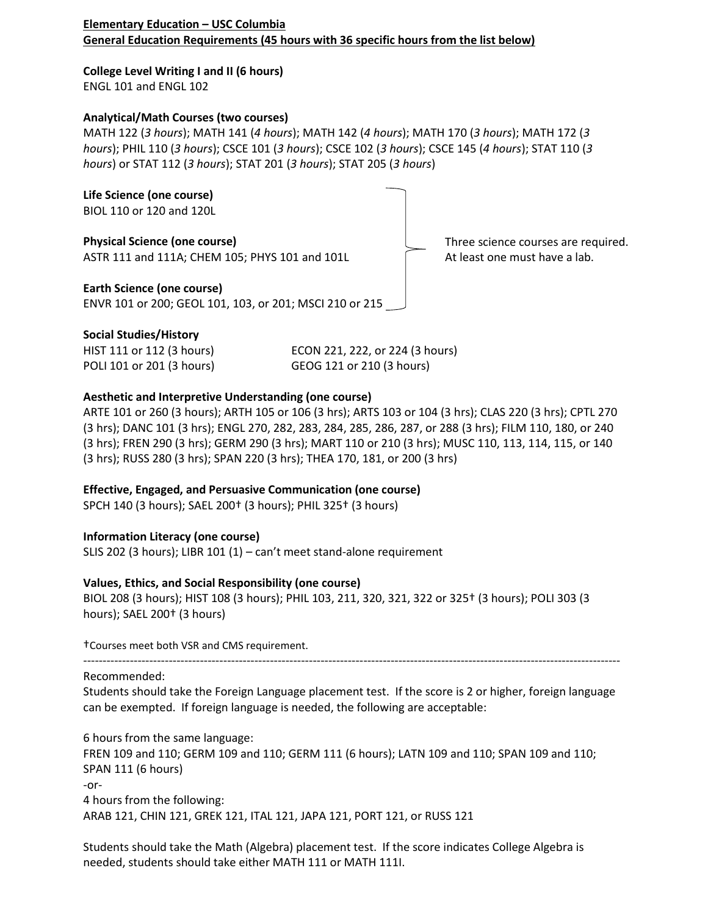#### **Elementary Education – USC Columbia General Education Requirements (45 hours with 36 specific hours from the list below)**

**College Level Writing I and II (6 hours)** ENGL 101 and ENGL 102

#### **Analytical/Math Courses (two courses)**

MATH 122 (*3 hours*); MATH 141 (*4 hours*); MATH 142 (*4 hours*); MATH 170 (*3 hours*); MATH 172 (*3 hours*); PHIL 110 (*3 hours*); CSCE 101 (*3 hours*); CSCE 102 (*3 hours*); CSCE 145 (*4 hours*); STAT 110 (*3 hours*) or STAT 112 (*3 hours*); STAT 201 (*3 hours*); STAT 205 (*3 hours*)



### **Social Studies/History**

| HIST 111 or 112 (3 hours) |  |
|---------------------------|--|
| POLI 101 or 201 (3 hours) |  |

ECON 221, 222, or 224 (3 hours) GEOG 121 or 210 (3 hours)

### **Aesthetic and Interpretive Understanding (one course)**

ARTE 101 or 260 (3 hours); ARTH 105 or 106 (3 hrs); ARTS 103 or 104 (3 hrs); CLAS 220 (3 hrs); CPTL 270 (3 hrs); DANC 101 (3 hrs); ENGL 270, 282, 283, 284, 285, 286, 287, or 288 (3 hrs); FILM 110, 180, or 240 (3 hrs); FREN 290 (3 hrs); GERM 290 (3 hrs); MART 110 or 210 (3 hrs); MUSC 110, 113, 114, 115, or 140 (3 hrs); RUSS 280 (3 hrs); SPAN 220 (3 hrs); THEA 170, 181, or 200 (3 hrs)

#### **Effective, Engaged, and Persuasive Communication (one course)**

SPCH 140 (3 hours); SAEL 200† (3 hours); PHIL 325† (3 hours)

## **Information Literacy (one course)**

SLIS 202 (3 hours); LIBR 101 (1) – can't meet stand-alone requirement

#### **Values, Ethics, and Social Responsibility (one course)**

BIOL 208 (3 hours); HIST 108 (3 hours); PHIL 103, 211, 320, 321, 322 or 325† (3 hours); POLI 303 (3 hours); SAEL 200† (3 hours)

†Courses meet both VSR and CMS requirement.

#### ------------------------------------------------------------------------------------------------------------------------------------------ Recommended:

Students should take the Foreign Language placement test. If the score is 2 or higher, foreign language can be exempted. If foreign language is needed, the following are acceptable:

6 hours from the same language: FREN 109 and 110; GERM 109 and 110; GERM 111 (6 hours); LATN 109 and 110; SPAN 109 and 110; SPAN 111 (6 hours) -or-4 hours from the following: ARAB 121, CHIN 121, GREK 121, ITAL 121, JAPA 121, PORT 121, or RUSS 121

Students should take the Math (Algebra) placement test. If the score indicates College Algebra is needed, students should take either MATH 111 or MATH 111I.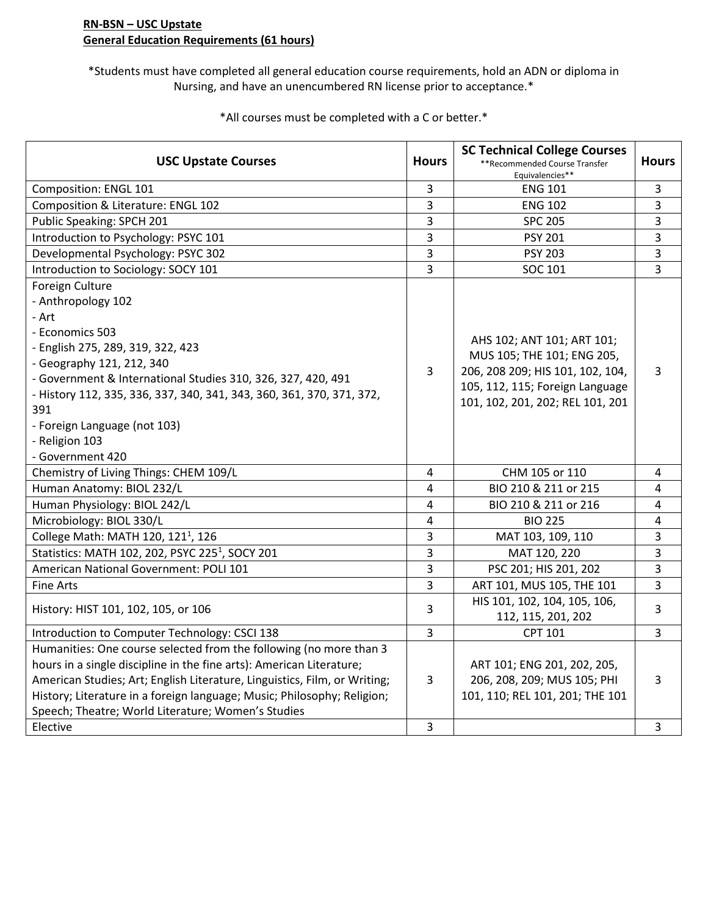#### **RN-BSN – USC Upstate General Education Requirements (61 hours)**

\*Students must have completed all general education course requirements, hold an ADN or diploma in Nursing, and have an unencumbered RN license prior to acceptance.\*

USC Upstate Courses **Hours SC Technical College Courses** \*\*Recommended Course Transfer Equivalencies\*\* **Hours** Composition: ENGL 101 **2020 ENG 101 2020 ENG 101 2020 ENG 101 2020 ENG 101 2020 2020 2020 2020 2020 2020 2020 2020 2020 2020 2020 2020 2020 2020 2020 2020 2020 2020 2020** Composition & Literature: ENGL 102 3 And 202 2 ENG 102 2 2 3 Public Speaking: SPCH 201 3 SPC 205 3 Introduction to Psychology: PSYC 101 and the state of the state of the PSY 201 and the PSY 201 and the SY 201 and the SY 201 and the SY 201 and the SY 201 and the SY 201 and the SY 201 and the SY 201 and the SY 201 and the Developmental Psychology: PSYC 302 3 PSY 203 3 PSY 203 3 Introduction to Sociology: SOCY 101 3 3 SOC 101 3 SOC 101 3 Foreign Culture - Anthropology 102 - Art - Economics 503 - English 275, 289, 319, 322, 423 - Geography 121, 212, 340 - Government & International Studies 310, 326, 327, 420, 491 - History 112, 335, 336, 337, 340, 341, 343, 360, 361, 370, 371, 372, 391 - Foreign Language (not 103) - Religion 103 - Government 420 3 AHS 102; ANT 101; ART 101; MUS 105; THE 101; ENG 205, 206, 208 209; HIS 101, 102, 104, 105, 112, 115; Foreign Language 101, 102, 201, 202; REL 101, 201 3 Chemistry of Living Things: CHEM 109/L **1000 CHM** 105 or 110 and the US or 110 cHM 105 or 110 Human Anatomy: BIOL 232/L 2020 8 211 or 215 4 Human Physiology: BIOL 242/L 2020 20:00:00 1:00:00 210 4 BIO 210 & 211 or 216 4 Microbiology: BIOL 330/L **A** BIO 225 **4** BIO 225 **4** 4 College Math: MATH 120, 121<sup>1</sup>, 126 3 MAT 103, 109, 110 3 Statistics: MATH 102, 202, PSYC 225<sup>1</sup>, SOCY 201 3 MAT 120, 220 3 American National Government: POLI 101 **101** 3 3 PSC 201; HIS 201, 202 3 Fine Arts **ART 101, MUS 105, THE 101** 3 History: HIST 101, 102, 105, or 106 3 HIS 101, 102, 104, 105, 106,  $112, 115, 201, 202$  3 Introduction to Computer Technology: CSCI 138 <br>
and the set of the set of the CPT 101 and the set of the set of the set of the set of the set of the set of t Humanities: One course selected from the following (no more than 3 hours in a single discipline in the fine arts): American Literature; American Studies; Art; English Literature, Linguistics, Film, or Writing; History; Literature in a foreign language; Music; Philosophy; Religion; Speech; Theatre; World Literature; Women's Studies 3 ART 101; ENG 201, 202, 205, 206, 208, 209; MUS 105; PHI 101, 110; REL 101, 201; THE 101 3 Elective 3 3

\*All courses must be completed with a C or better.\*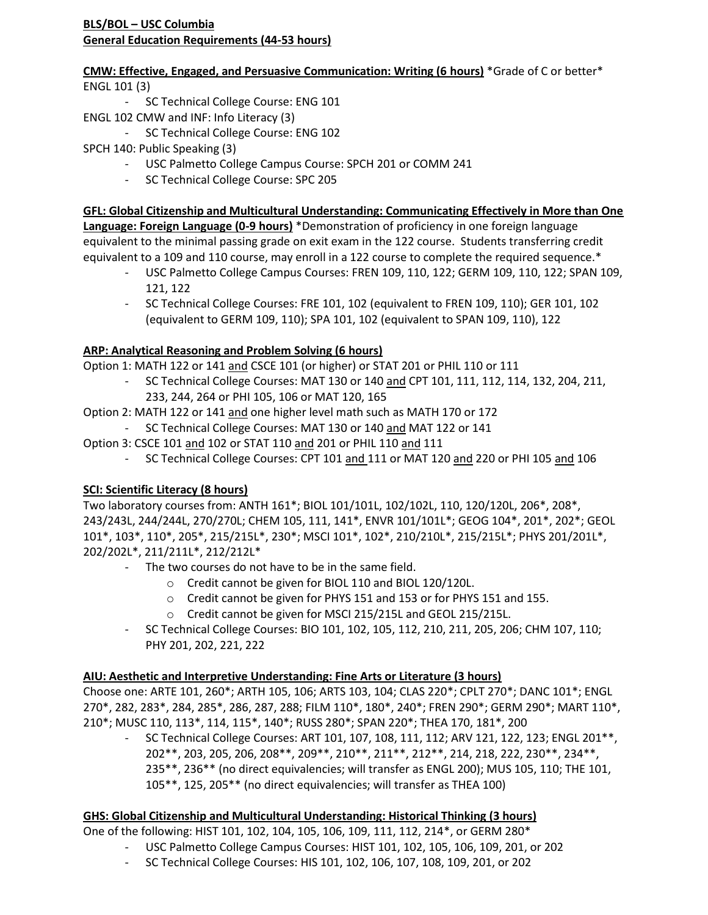**CMW: Effective, Engaged, and Persuasive Communication: Writing (6 hours)** \*Grade of C or better\* ENGL 101 (3)

- SC Technical College Course: ENG 101
- ENGL 102 CMW and INF: Info Literacy (3)
	- SC Technical College Course: ENG 102
- SPCH 140: Public Speaking (3)
	- USC Palmetto College Campus Course: SPCH 201 or COMM 241
	- SC Technical College Course: SPC 205

**GFL: Global Citizenship and Multicultural Understanding: Communicating Effectively in More than One Language: Foreign Language (0-9 hours)** \*Demonstration of proficiency in one foreign language equivalent to the minimal passing grade on exit exam in the 122 course. Students transferring credit equivalent to a 109 and 110 course, may enroll in a 122 course to complete the required sequence.\*

- USC Palmetto College Campus Courses: FREN 109, 110, 122; GERM 109, 110, 122; SPAN 109, 121, 122
- SC Technical College Courses: FRE 101, 102 (equivalent to FREN 109, 110); GER 101, 102 (equivalent to GERM 109, 110); SPA 101, 102 (equivalent to SPAN 109, 110), 122

# **ARP: Analytical Reasoning and Problem Solving (6 hours)**

Option 1: MATH 122 or 141 and CSCE 101 (or higher) or STAT 201 or PHIL 110 or 111

- SC Technical College Courses: MAT 130 or 140 and CPT 101, 111, 112, 114, 132, 204, 211, 233, 244, 264 or PHI 105, 106 or MAT 120, 165
- Option 2: MATH 122 or 141 and one higher level math such as MATH 170 or 172
	- SC Technical College Courses: MAT 130 or 140 and MAT 122 or 141
- Option 3: CSCE 101 and 102 or STAT 110 and 201 or PHIL 110 and 111
	- SC Technical College Courses: CPT 101 and 111 or MAT 120 and 220 or PHI 105 and 106

# **SCI: Scientific Literacy (8 hours)**

Two laboratory courses from: ANTH 161\*; BIOL 101/101L, 102/102L, 110, 120/120L, 206\*, 208\*, 243/243L, 244/244L, 270/270L; CHEM 105, 111, 141\*, ENVR 101/101L\*; GEOG 104\*, 201\*, 202\*; GEOL 101\*, 103\*, 110\*, 205\*, 215/215L\*, 230\*; MSCI 101\*, 102\*, 210/210L\*, 215/215L\*; PHYS 201/201L\*, 202/202L\*, 211/211L\*, 212/212L\*

- The two courses do not have to be in the same field.
	- o Credit cannot be given for BIOL 110 and BIOL 120/120L.
	- o Credit cannot be given for PHYS 151 and 153 or for PHYS 151 and 155.
	- o Credit cannot be given for MSCI 215/215L and GEOL 215/215L.
- SC Technical College Courses: BIO 101, 102, 105, 112, 210, 211, 205, 206; CHM 107, 110; PHY 201, 202, 221, 222

## **AIU: Aesthetic and Interpretive Understanding: Fine Arts or Literature (3 hours)**

Choose one: ARTE 101, 260\*; ARTH 105, 106; ARTS 103, 104; CLAS 220\*; CPLT 270\*; DANC 101\*; ENGL 270\*, 282, 283\*, 284, 285\*, 286, 287, 288; FILM 110\*, 180\*, 240\*; FREN 290\*; GERM 290\*; MART 110\*, 210\*; MUSC 110, 113\*, 114, 115\*, 140\*; RUSS 280\*; SPAN 220\*; THEA 170, 181\*, 200

SC Technical College Courses: ART 101, 107, 108, 111, 112; ARV 121, 122, 123; ENGL 201<sup>\*\*</sup>, 202\*\*, 203, 205, 206, 208\*\*, 209\*\*, 210\*\*, 211\*\*, 212\*\*, 214, 218, 222, 230\*\*, 234\*\*, 235\*\*, 236\*\* (no direct equivalencies; will transfer as ENGL 200); MUS 105, 110; THE 101, 105\*\*, 125, 205\*\* (no direct equivalencies; will transfer as THEA 100)

## **GHS: Global Citizenship and Multicultural Understanding: Historical Thinking (3 hours)**

One of the following: HIST 101, 102, 104, 105, 106, 109, 111, 112, 214\*, or GERM 280\*

- USC Palmetto College Campus Courses: HIST 101, 102, 105, 106, 109, 201, or 202
- SC Technical College Courses: HIS 101, 102, 106, 107, 108, 109, 201, or 202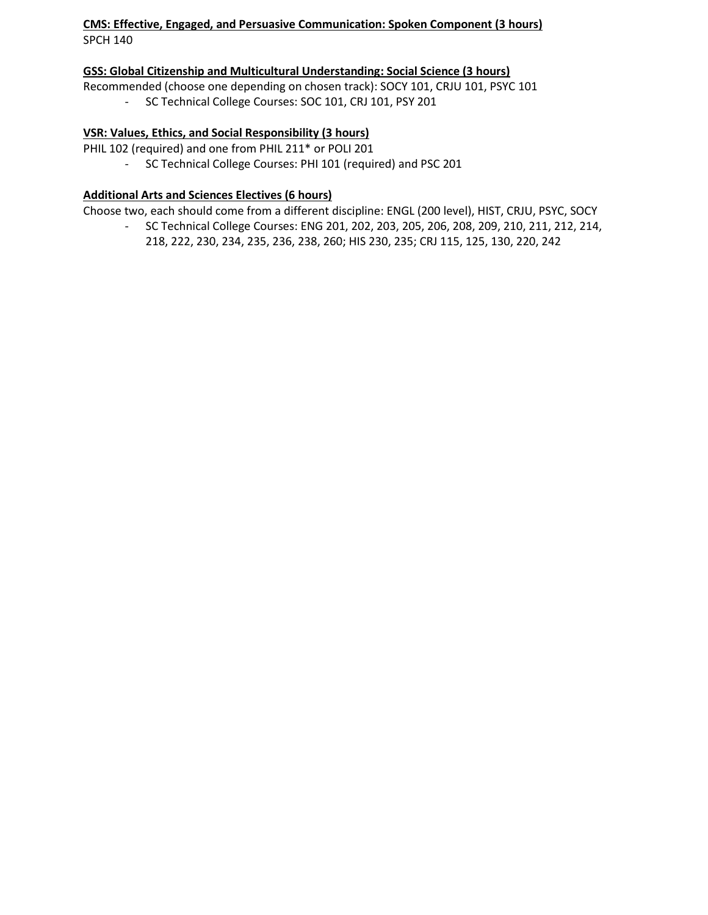#### **CMS: Effective, Engaged, and Persuasive Communication: Spoken Component (3 hours)** SPCH 140

#### **GSS: Global Citizenship and Multicultural Understanding: Social Science (3 hours)**

Recommended (choose one depending on chosen track): SOCY 101, CRJU 101, PSYC 101 - SC Technical College Courses: SOC 101, CRJ 101, PSY 201

## **VSR: Values, Ethics, and Social Responsibility (3 hours)**

PHIL 102 (required) and one from PHIL 211\* or POLI 201

- SC Technical College Courses: PHI 101 (required) and PSC 201

### **Additional Arts and Sciences Electives (6 hours)**

Choose two, each should come from a different discipline: ENGL (200 level), HIST, CRJU, PSYC, SOCY

- SC Technical College Courses: ENG 201, 202, 203, 205, 206, 208, 209, 210, 211, 212, 214, 218, 222, 230, 234, 235, 236, 238, 260; HIS 230, 235; CRJ 115, 125, 130, 220, 242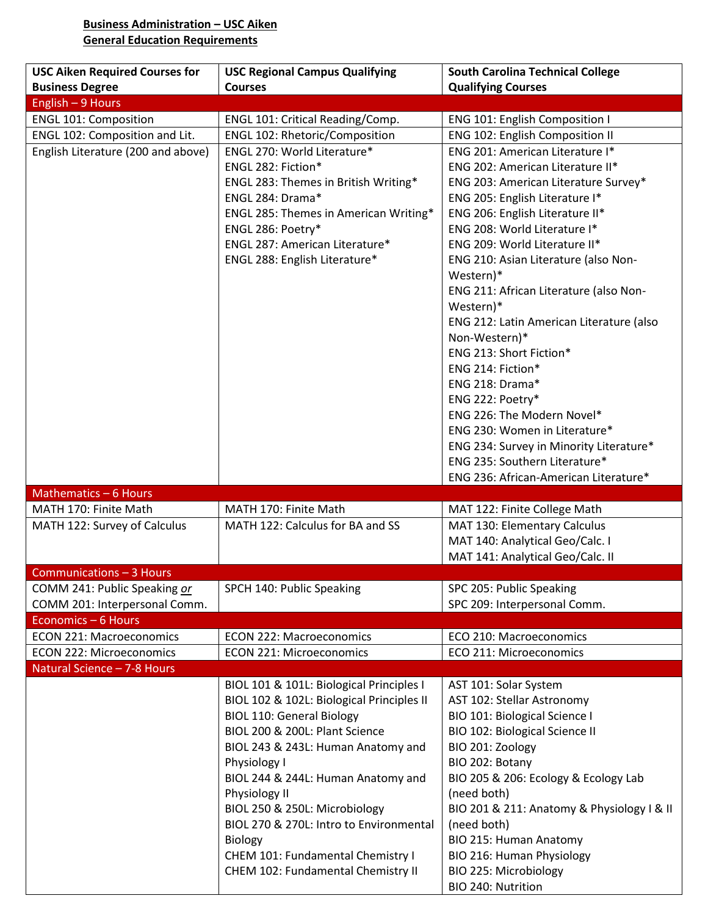### **Business Administration – USC Aiken General Education Requirements**

| <b>USC Aiken Required Courses for</b>                         | <b>USC Regional Campus Qualifying</b>          | <b>South Carolina Technical College</b>                             |
|---------------------------------------------------------------|------------------------------------------------|---------------------------------------------------------------------|
| <b>Business Degree</b>                                        | <b>Courses</b>                                 | <b>Qualifying Courses</b>                                           |
| English - 9 Hours                                             |                                                |                                                                     |
| <b>ENGL 101: Composition</b>                                  | ENGL 101: Critical Reading/Comp.               | ENG 101: English Composition I                                      |
| ENGL 102: Composition and Lit.                                | ENGL 102: Rhetoric/Composition                 | ENG 102: English Composition II                                     |
| English Literature (200 and above)                            | ENGL 270: World Literature*                    | ENG 201: American Literature I*                                     |
|                                                               | ENGL 282: Fiction*                             | ENG 202: American Literature II*                                    |
|                                                               | ENGL 283: Themes in British Writing*           | ENG 203: American Literature Survey*                                |
|                                                               | ENGL 284: Drama*                               | ENG 205: English Literature I*                                      |
|                                                               | ENGL 285: Themes in American Writing*          | ENG 206: English Literature II*                                     |
|                                                               | ENGL 286: Poetry*                              | ENG 208: World Literature I*                                        |
|                                                               | ENGL 287: American Literature*                 | ENG 209: World Literature II*                                       |
|                                                               | ENGL 288: English Literature*                  | ENG 210: Asian Literature (also Non-<br>Western)*                   |
|                                                               |                                                | ENG 211: African Literature (also Non-                              |
|                                                               |                                                | Western)*                                                           |
|                                                               |                                                | ENG 212: Latin American Literature (also                            |
|                                                               |                                                | Non-Western)*                                                       |
|                                                               |                                                | ENG 213: Short Fiction*                                             |
|                                                               |                                                | ENG 214: Fiction*                                                   |
|                                                               |                                                | ENG 218: Drama*                                                     |
|                                                               |                                                | ENG 222: Poetry*                                                    |
|                                                               |                                                | ENG 226: The Modern Novel*                                          |
|                                                               |                                                | ENG 230: Women in Literature*                                       |
|                                                               |                                                | ENG 234: Survey in Minority Literature*                             |
|                                                               |                                                | ENG 235: Southern Literature*                                       |
|                                                               |                                                | ENG 236: African-American Literature*                               |
| Mathematics - 6 Hours                                         |                                                |                                                                     |
| MATH 170: Finite Math                                         | MATH 170: Finite Math                          | MAT 122: Finite College Math                                        |
| MATH 122: Survey of Calculus                                  | MATH 122: Calculus for BA and SS               | MAT 130: Elementary Calculus                                        |
|                                                               |                                                | MAT 140: Analytical Geo/Calc. I<br>MAT 141: Analytical Geo/Calc. II |
| Communications - 3 Hours                                      |                                                |                                                                     |
|                                                               | SPCH 140: Public Speaking                      |                                                                     |
| COMM 241: Public Speaking or<br>COMM 201: Interpersonal Comm. |                                                | SPC 205: Public Speaking<br>SPC 209: Interpersonal Comm.            |
| Economics - 6 Hours                                           |                                                |                                                                     |
| <b>ECON 221: Macroeconomics</b>                               | <b>ECON 222: Macroeconomics</b>                | ECO 210: Macroeconomics                                             |
| <b>ECON 222: Microeconomics</b>                               | <b>ECON 221: Microeconomics</b>                | ECO 211: Microeconomics                                             |
| Natural Science - 7-8 Hours                                   |                                                |                                                                     |
|                                                               | BIOL 101 & 101L: Biological Principles I       | AST 101: Solar System                                               |
|                                                               | BIOL 102 & 102L: Biological Principles II      | AST 102: Stellar Astronomy                                          |
|                                                               | <b>BIOL 110: General Biology</b>               | BIO 101: Biological Science I                                       |
|                                                               | BIOL 200 & 200L: Plant Science                 | BIO 102: Biological Science II                                      |
|                                                               | BIOL 243 & 243L: Human Anatomy and             | BIO 201: Zoology                                                    |
|                                                               | Physiology I                                   | BIO 202: Botany                                                     |
|                                                               | BIOL 244 & 244L: Human Anatomy and             | BIO 205 & 206: Ecology & Ecology Lab                                |
|                                                               |                                                | (need both)                                                         |
|                                                               | Physiology II<br>BIOL 250 & 250L: Microbiology | BIO 201 & 211: Anatomy & Physiology I & II                          |
|                                                               | BIOL 270 & 270L: Intro to Environmental        |                                                                     |
|                                                               |                                                | (need both)                                                         |
|                                                               | <b>Biology</b>                                 | BIO 215: Human Anatomy                                              |
|                                                               | CHEM 101: Fundamental Chemistry I              | BIO 216: Human Physiology                                           |
|                                                               | CHEM 102: Fundamental Chemistry II             | BIO 225: Microbiology                                               |
|                                                               |                                                | BIO 240: Nutrition                                                  |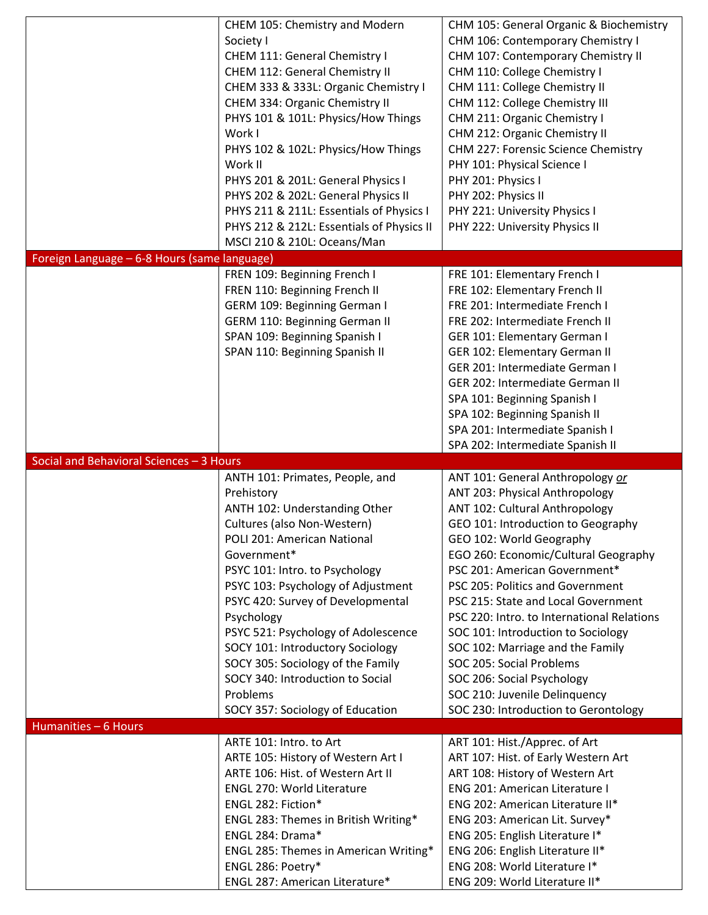|                                              | CHEM 105: Chemistry and Modern            | CHM 105: General Organic & Biochemistry                                           |
|----------------------------------------------|-------------------------------------------|-----------------------------------------------------------------------------------|
|                                              | Society I                                 | CHM 106: Contemporary Chemistry I                                                 |
|                                              | CHEM 111: General Chemistry I             | CHM 107: Contemporary Chemistry II                                                |
|                                              | CHEM 112: General Chemistry II            | CHM 110: College Chemistry I                                                      |
|                                              | CHEM 333 & 333L: Organic Chemistry I      | CHM 111: College Chemistry II                                                     |
|                                              | CHEM 334: Organic Chemistry II            | CHM 112: College Chemistry III                                                    |
|                                              | PHYS 101 & 101L: Physics/How Things       | CHM 211: Organic Chemistry I                                                      |
|                                              | Work I                                    | CHM 212: Organic Chemistry II                                                     |
|                                              | PHYS 102 & 102L: Physics/How Things       | CHM 227: Forensic Science Chemistry                                               |
|                                              | Work II                                   | PHY 101: Physical Science I                                                       |
|                                              |                                           |                                                                                   |
|                                              | PHYS 201 & 201L: General Physics I        | PHY 201: Physics I                                                                |
|                                              | PHYS 202 & 202L: General Physics II       | PHY 202: Physics II                                                               |
|                                              | PHYS 211 & 211L: Essentials of Physics I  | PHY 221: University Physics I                                                     |
|                                              | PHYS 212 & 212L: Essentials of Physics II | PHY 222: University Physics II                                                    |
|                                              | MSCI 210 & 210L: Oceans/Man               |                                                                                   |
| Foreign Language - 6-8 Hours (same language) |                                           |                                                                                   |
|                                              | FREN 109: Beginning French I              | FRE 101: Elementary French I                                                      |
|                                              | FREN 110: Beginning French II             | FRE 102: Elementary French II                                                     |
|                                              | GERM 109: Beginning German I              | FRE 201: Intermediate French I                                                    |
|                                              | <b>GERM 110: Beginning German II</b>      | FRE 202: Intermediate French II                                                   |
|                                              | SPAN 109: Beginning Spanish I             | GER 101: Elementary German I                                                      |
|                                              | SPAN 110: Beginning Spanish II            | GER 102: Elementary German II                                                     |
|                                              |                                           | GER 201: Intermediate German I                                                    |
|                                              |                                           | GER 202: Intermediate German II                                                   |
|                                              |                                           |                                                                                   |
|                                              |                                           | SPA 101: Beginning Spanish I                                                      |
|                                              |                                           | SPA 102: Beginning Spanish II                                                     |
|                                              |                                           | SPA 201: Intermediate Spanish I                                                   |
|                                              |                                           | SPA 202: Intermediate Spanish II                                                  |
|                                              |                                           |                                                                                   |
| Social and Behavioral Sciences - 3 Hours     |                                           |                                                                                   |
|                                              | ANTH 101: Primates, People, and           | ANT 101: General Anthropology or                                                  |
|                                              | Prehistory                                | ANT 203: Physical Anthropology                                                    |
|                                              | ANTH 102: Understanding Other             | ANT 102: Cultural Anthropology                                                    |
|                                              | Cultures (also Non-Western)               | GEO 101: Introduction to Geography                                                |
|                                              | POLI 201: American National               | GEO 102: World Geography                                                          |
|                                              | Government*                               | EGO 260: Economic/Cultural Geography                                              |
|                                              | PSYC 101: Intro. to Psychology            | PSC 201: American Government*                                                     |
|                                              | PSYC 103: Psychology of Adjustment        | PSC 205: Politics and Government                                                  |
|                                              |                                           |                                                                                   |
|                                              | PSYC 420: Survey of Developmental         | PSC 215: State and Local Government<br>PSC 220: Intro. to International Relations |
|                                              | Psychology                                |                                                                                   |
|                                              | PSYC 521: Psychology of Adolescence       | SOC 101: Introduction to Sociology                                                |
|                                              | SOCY 101: Introductory Sociology          | SOC 102: Marriage and the Family                                                  |
|                                              | SOCY 305: Sociology of the Family         | SOC 205: Social Problems                                                          |
|                                              | SOCY 340: Introduction to Social          | SOC 206: Social Psychology                                                        |
|                                              | Problems                                  | SOC 210: Juvenile Delinquency                                                     |
|                                              | SOCY 357: Sociology of Education          | SOC 230: Introduction to Gerontology                                              |
| Humanities - 6 Hours                         |                                           |                                                                                   |
|                                              | ARTE 101: Intro. to Art                   | ART 101: Hist./Apprec. of Art                                                     |
|                                              | ARTE 105: History of Western Art I        | ART 107: Hist. of Early Western Art                                               |
|                                              | ARTE 106: Hist. of Western Art II         | ART 108: History of Western Art                                                   |
|                                              | <b>ENGL 270: World Literature</b>         | ENG 201: American Literature I                                                    |
|                                              | ENGL 282: Fiction*                        | ENG 202: American Literature II*                                                  |
|                                              | ENGL 283: Themes in British Writing*      | ENG 203: American Lit. Survey*                                                    |
|                                              | ENGL 284: Drama*                          | ENG 205: English Literature I*                                                    |
|                                              | ENGL 285: Themes in American Writing*     | ENG 206: English Literature II*                                                   |
|                                              | ENGL 286: Poetry*                         | ENG 208: World Literature I*                                                      |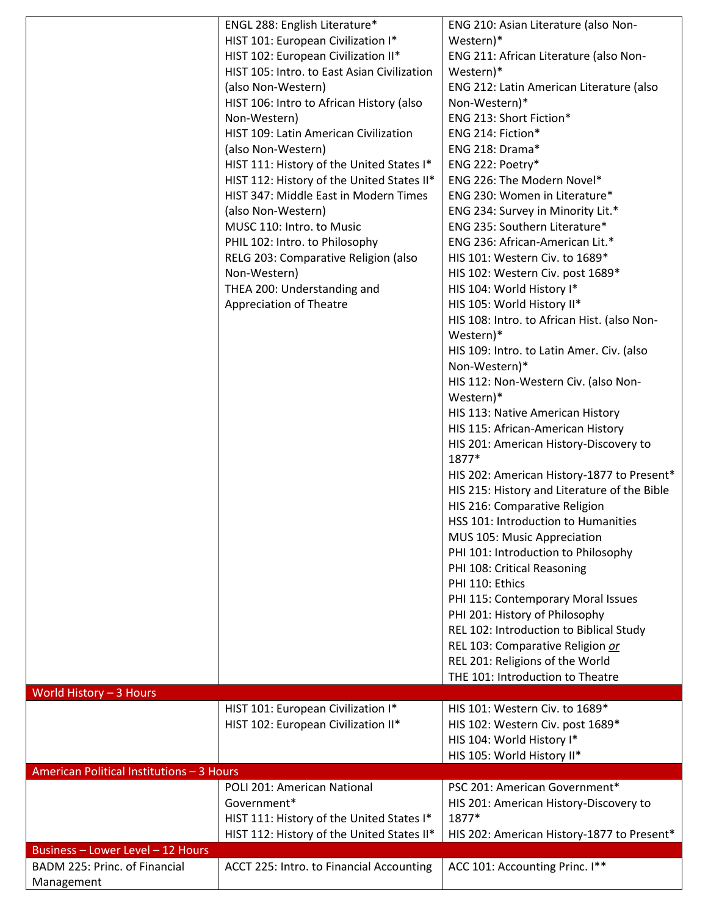|                                             | ENGL 288: English Literature*                                                                                                                                                                                                                                                                                                                                                                                                                                                                                                                                                                                               | ENG 210: Asian Literature (also Non-                                                                                                                                                                                                                                                                                                                                                                                                                                                                                                                                                                                                                                                                                                                                                                                                                                                                                                                                                                                                                                                                                                                                                                                                                                                                                             |
|---------------------------------------------|-----------------------------------------------------------------------------------------------------------------------------------------------------------------------------------------------------------------------------------------------------------------------------------------------------------------------------------------------------------------------------------------------------------------------------------------------------------------------------------------------------------------------------------------------------------------------------------------------------------------------------|----------------------------------------------------------------------------------------------------------------------------------------------------------------------------------------------------------------------------------------------------------------------------------------------------------------------------------------------------------------------------------------------------------------------------------------------------------------------------------------------------------------------------------------------------------------------------------------------------------------------------------------------------------------------------------------------------------------------------------------------------------------------------------------------------------------------------------------------------------------------------------------------------------------------------------------------------------------------------------------------------------------------------------------------------------------------------------------------------------------------------------------------------------------------------------------------------------------------------------------------------------------------------------------------------------------------------------|
|                                             | HIST 101: European Civilization I*<br>HIST 102: European Civilization II*<br>HIST 105: Intro. to East Asian Civilization<br>(also Non-Western)<br>HIST 106: Intro to African History (also<br>Non-Western)<br>HIST 109: Latin American Civilization<br>(also Non-Western)<br>HIST 111: History of the United States I*<br>HIST 112: History of the United States II*<br>HIST 347: Middle East in Modern Times<br>(also Non-Western)<br>MUSC 110: Intro. to Music<br>PHIL 102: Intro. to Philosophy<br>RELG 203: Comparative Religion (also<br>Non-Western)<br>THEA 200: Understanding and<br><b>Appreciation of Theatre</b> | Western)*<br>ENG 211: African Literature (also Non-<br>Western)*<br>ENG 212: Latin American Literature (also<br>Non-Western)*<br>ENG 213: Short Fiction*<br>ENG 214: Fiction*<br>ENG 218: Drama*<br>ENG 222: Poetry*<br>ENG 226: The Modern Novel*<br>ENG 230: Women in Literature*<br>ENG 234: Survey in Minority Lit.*<br>ENG 235: Southern Literature*<br>ENG 236: African-American Lit.*<br>HIS 101: Western Civ. to 1689*<br>HIS 102: Western Civ. post 1689*<br>HIS 104: World History I*<br>HIS 105: World History II*<br>HIS 108: Intro. to African Hist. (also Non-<br>Western)*<br>HIS 109: Intro. to Latin Amer. Civ. (also<br>Non-Western)*<br>HIS 112: Non-Western Civ. (also Non-<br>Western)*<br>HIS 113: Native American History<br>HIS 115: African-American History<br>HIS 201: American History-Discovery to<br>1877*<br>HIS 202: American History-1877 to Present*<br>HIS 215: History and Literature of the Bible<br>HIS 216: Comparative Religion<br>HSS 101: Introduction to Humanities<br>MUS 105: Music Appreciation<br>PHI 101: Introduction to Philosophy<br>PHI 108: Critical Reasoning<br>PHI 110: Ethics<br>PHI 115: Contemporary Moral Issues<br>PHI 201: History of Philosophy<br>REL 102: Introduction to Biblical Study<br>REL 103: Comparative Religion or<br>REL 201: Religions of the World |
|                                             |                                                                                                                                                                                                                                                                                                                                                                                                                                                                                                                                                                                                                             | THE 101: Introduction to Theatre                                                                                                                                                                                                                                                                                                                                                                                                                                                                                                                                                                                                                                                                                                                                                                                                                                                                                                                                                                                                                                                                                                                                                                                                                                                                                                 |
| World History - 3 Hours                     | HIST 101: European Civilization I*                                                                                                                                                                                                                                                                                                                                                                                                                                                                                                                                                                                          | HIS 101: Western Civ. to 1689*                                                                                                                                                                                                                                                                                                                                                                                                                                                                                                                                                                                                                                                                                                                                                                                                                                                                                                                                                                                                                                                                                                                                                                                                                                                                                                   |
|                                             | HIST 102: European Civilization II*                                                                                                                                                                                                                                                                                                                                                                                                                                                                                                                                                                                         | HIS 102: Western Civ. post 1689*<br>HIS 104: World History I*<br>HIS 105: World History II*                                                                                                                                                                                                                                                                                                                                                                                                                                                                                                                                                                                                                                                                                                                                                                                                                                                                                                                                                                                                                                                                                                                                                                                                                                      |
| American Political Institutions - 3 Hours   | POLI 201: American National                                                                                                                                                                                                                                                                                                                                                                                                                                                                                                                                                                                                 | PSC 201: American Government*                                                                                                                                                                                                                                                                                                                                                                                                                                                                                                                                                                                                                                                                                                                                                                                                                                                                                                                                                                                                                                                                                                                                                                                                                                                                                                    |
|                                             | Government*<br>HIST 111: History of the United States I*<br>HIST 112: History of the United States II*                                                                                                                                                                                                                                                                                                                                                                                                                                                                                                                      | HIS 201: American History-Discovery to<br>1877*<br>HIS 202: American History-1877 to Present*                                                                                                                                                                                                                                                                                                                                                                                                                                                                                                                                                                                                                                                                                                                                                                                                                                                                                                                                                                                                                                                                                                                                                                                                                                    |
| Business - Lower Level - 12 Hours           |                                                                                                                                                                                                                                                                                                                                                                                                                                                                                                                                                                                                                             |                                                                                                                                                                                                                                                                                                                                                                                                                                                                                                                                                                                                                                                                                                                                                                                                                                                                                                                                                                                                                                                                                                                                                                                                                                                                                                                                  |
| BADM 225: Princ. of Financial<br>Management | ACCT 225: Intro. to Financial Accounting                                                                                                                                                                                                                                                                                                                                                                                                                                                                                                                                                                                    | ACC 101: Accounting Princ. I**                                                                                                                                                                                                                                                                                                                                                                                                                                                                                                                                                                                                                                                                                                                                                                                                                                                                                                                                                                                                                                                                                                                                                                                                                                                                                                   |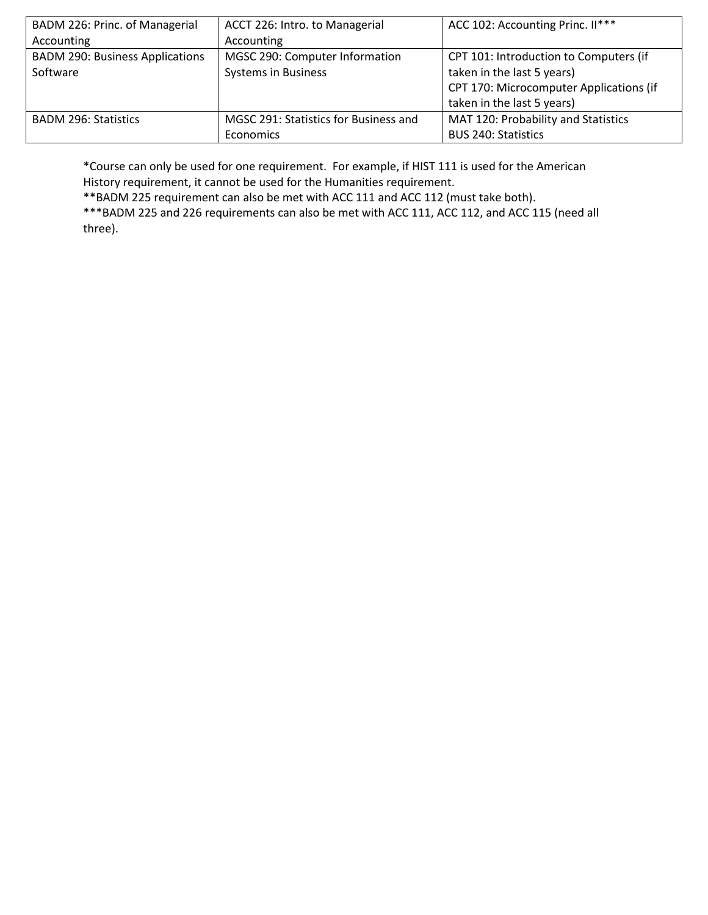| BADM 226: Princ. of Managerial         | ACCT 226: Intro. to Managerial        | ACC 102: Accounting Princ. II***        |
|----------------------------------------|---------------------------------------|-----------------------------------------|
| Accounting                             | Accounting                            |                                         |
| <b>BADM 290: Business Applications</b> | MGSC 290: Computer Information        | CPT 101: Introduction to Computers (if  |
| Software                               | <b>Systems in Business</b>            | taken in the last 5 years)              |
|                                        |                                       | CPT 170: Microcomputer Applications (if |
|                                        |                                       | taken in the last 5 years)              |
| <b>BADM 296: Statistics</b>            | MGSC 291: Statistics for Business and | MAT 120: Probability and Statistics     |
|                                        | Economics                             | <b>BUS 240: Statistics</b>              |

\*Course can only be used for one requirement. For example, if HIST 111 is used for the American History requirement, it cannot be used for the Humanities requirement.

\*\*BADM 225 requirement can also be met with ACC 111 and ACC 112 (must take both).

\*\*\*BADM 225 and 226 requirements can also be met with ACC 111, ACC 112, and ACC 115 (need all three).